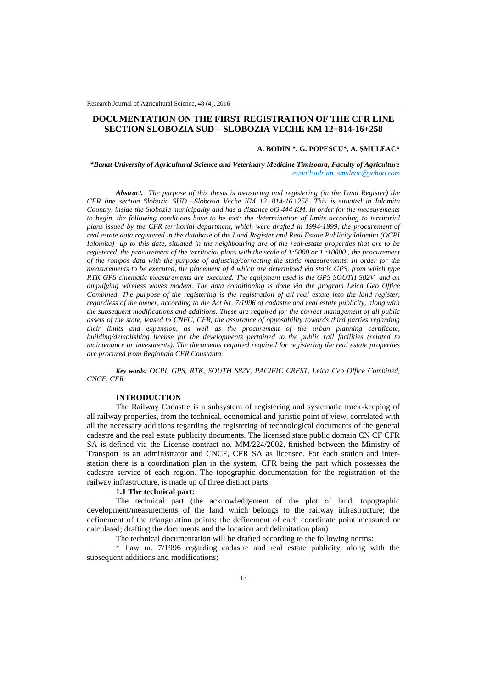# **DOCUMENTATION ON THE FIRST REGISTRATION OF THE CFR LINE SECTION SLOBOZIA SUD – SLOBOZIA VECHE KM 12+814-16+258**

### **A. BODIN \*, G. POPESCU\*, A. ŞMULEAC\***

### *\*Banat University of Agricultural Science and Veterinary Medicine Timisoara, Faculty of Agriculture e-mail:adrian\_smuleac@yahoo.com*

*Abstract. The purpose of this thesis is measuring and registering (in the Land Register) the CFR line section Slobozia SUD –Slobozia Veche KM 12+814-16+258. This is situated in Ialomita Country, inside the Slobozia municipality and has a distance of3.444 KM. In order for the measurements to begin, the following conditions have to be met: the determination of limits according to territorial plans issued by the CFR territorial department, which were drafted in 1994-1999, the procurement of real estate data registered in the database of the Land Register and Real Estate Publicity Ialomita (OCPI Ialomita) up to this date, situated in the neighbouring are of the real-estate properties that are to be registered, the procurement of the territorial plans with the scale of 1:5000 or 1 :10000 , the procurement of the rompos data with the purpose of adjusting/correcting the static measurements. In order for the measurements to be executed, the placement of 4 which are determined via static GPS, from which type RTK GPS cinematic measurements are executed. The equipment used is the GPS SOUTH S82V and an amplifying wireless waves modem. The data conditioning is done via the program Leica Geo Office Combined. The purpose of the registering is the registration of all real estate into the land register, regardless of the owner, according to the Act Nr. 7/1996 of cadastre and real estate publicity, along with the subsequent modifications and additions. These are required for the correct management of all public assets of the state, leased to CNFC, CFR, the assurance of opposability towards third parties regarding their limits and expansion, as well as the procurement of the urban planning certificate, building/demolishing license for the developments pertained to the public rail facilities (related to maintenance or investments). The documents required required for registering the real estate properties are procured from Regionala CFR Constanta.*

*Key words: OCPI, GPS, RTK, SOUTH S82V, PACIFIC CREST, Leica Geo Office Combined, CNCF, CFR*

# **INTRODUCTION**

The Railway Cadastre is a subsystem of registering and systematic track-keeping of all railway properties, from the technical, economical and juristic point of view, correlated with all the necessary additions regarding the registering of technological documents of the general cadastre and the real estate publicity documents. The licensed state public domain CN CF CFR SA is defined via the License contract no. MM/224/2002, finished between the Ministry of Transport as an administrator and CNCF, CFR SA as licensee. For each station and interstation there is a coordination plan in the system, CFR being the part which possesses the cadastre service of each region. The topographic documentation for the registration of the railway infrastructure, is made up of three distinct parts:

## **1.1 The technical part:**

The technical part (the acknowledgement of the plot of land, topographic development/measurements of the land which belongs to the railway infrastructure; the definement of the triangulation points; the definement of each coordinate point measured or calculated; drafting the documents and the location and delimitation plan)

The technical documentation will be drafted according to the following norms:

\* Law nr. 7/1996 regarding cadastre and real estate publicity, along with the subsequent additions and modifications;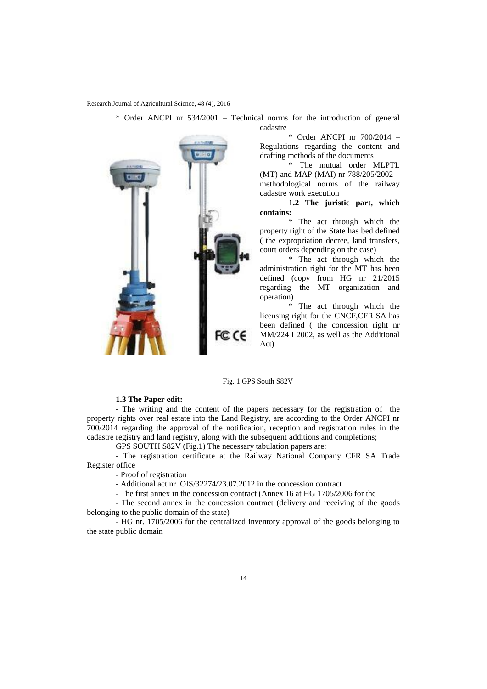Research Journal of Agricultural Science, 48 (4), 2016



\* Order ANCPI nr 534/2001 – Technical norms for the introduction of general cadastre

> \* Order ANCPI nr 700/2014 – Regulations regarding the content and drafting methods of the documents

> \* The mutual order MLPTL (MT) and MAP (MAI) nr 788/205/2002 – methodological norms of the railway cadastre work execution

> **1.2 The juristic part, which contains:**

> \* The act through which the property right of the State has bed defined ( the expropriation decree, land transfers, court orders depending on the case)

> \* The act through which the administration right for the MT has been defined (copy from HG nr 21/2015 regarding the MT organization and operation)

> \* The act through which the licensing right for the CNCF,CFR SA has been defined ( the concession right nr MM/224 I 2002, as well as the Additional Act)

#### Fig. 1 GPS South S82V

# **1.3 The Paper edit:**

- The writing and the content of the papers necessary for the registration of the property rights over real estate into the Land Registry, are according to the Order ANCPI nr 700/2014 regarding the approval of the notification, reception and registration rules in the cadastre registry and land registry, along with the subsequent additions and completions;

GPS SOUTH S82V (Fig.1) The necessary tabulation papers are:

- The registration certificate at the Railway National Company CFR SA Trade Register office

- Proof of registration

- Additional act nr. OIS/32274/23.07.2012 in the concession contract

- The first annex in the concession contract (Annex 16 at HG 1705/2006 for the

- The second annex in the concession contract (delivery and receiving of the goods belonging to the public domain of the state)

- HG nr. 1705/2006 for the centralized inventory approval of the goods belonging to the state public domain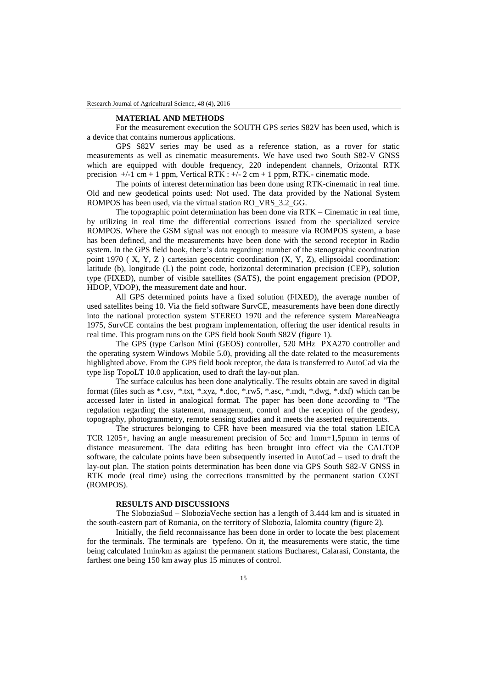#### **MATERIAL AND METHODS**

For the measurement execution the SOUTH GPS series S82V has been used, which is a device that contains numerous applications.

GPS S82V series may be used as a reference station, as a rover for static measurements as well as cinematic measurements. We have used two South S82-V GNSS which are equipped with double frequency, 220 independent channels, Orizontal RTK precision  $+/-1$  cm + 1 ppm, Vertical RTK :  $+/-2$  cm + 1 ppm, RTK.- cinematic mode.

The points of interest determination has been done using RTK-cinematic in real time. Old and new geodetical points used: Not used. The data provided by the National System ROMPOS has been used, via the virtual station RO\_VRS\_3.2\_GG.

The topographic point determination has been done via RTK – Cinematic in real time, by utilizing in real time the differential corrections issued from the specialized service ROMPOS. Where the GSM signal was not enough to measure via ROMPOS system, a base has been defined, and the measurements have been done with the second receptor in Radio system. In the GPS field book, there's data regarding: number of the stenographic coordination point 1970 ( $X, Y, Z$ ) cartesian geocentric coordination  $(X, Y, Z)$ , ellipsoidal coordination: latitude (b), longitude (L) the point code, horizontal determination precision (CEP), solution type (FIXED), number of visible satellites (SATS), the point engagement precision (PDOP, HDOP, VDOP), the measurement date and hour.

All GPS determined points have a fixed solution (FIXED), the average number of used satellites being 10. Via the field software SurvCE, measurements have been done directly into the national protection system STEREO 1970 and the reference system MareaNeagra 1975, SurvCE contains the best program implementation, offering the user identical results in real time. This program runs on the GPS field book South S82V (figure 1).

The GPS (type Carlson Mini (GEOS) controller, 520 MHz PXA270 controller and the operating system Windows Mobile 5.0), providing all the date related to the measurements highlighted above. From the GPS field book receptor, the data is transferred to AutoCad via the type lisp TopoLT 10.0 application, used to draft the lay-out plan.

The surface calculus has been done analytically. The results obtain are saved in digital format (files such as \*.csv, \*.txt, \*.xyz, \*.doc, \*.rw5, \*.asc, \*.mdt, \*.dwg, \*.dxf) which can be accessed later in listed in analogical format. The paper has been done according to "The regulation regarding the statement, management, control and the reception of the geodesy, topography, photogrammetry, remote sensing studies and it meets the asserted requirements.

The structures belonging to CFR have been measured via the total station LEICA TCR 1205+, having an angle measurement precision of 5cc and 1mm+1,5pmm in terms of distance measurement. The data editing has been brought into effect via the CALTOP software, the calculate points have been subsequently inserted in AutoCad – used to draft the lay-out plan. The station points determination has been done via GPS South S82-V GNSS in RTK mode (real time) using the corrections transmitted by the permanent station COST (ROMPOS).

# **RESULTS AND DISCUSSIONS**

The SloboziaSud – SloboziaVeche section has a length of 3.444 km and is situated in the south-eastern part of Romania, on the territory of Slobozia, Ialomita country (figure 2).

Initially, the field reconnaissance has been done in order to locate the best placement for the terminals. The terminals are typefeno. On it, the measurements were static, the time being calculated 1min/km as against the permanent stations Bucharest, Calarasi, Constanta, the farthest one being 150 km away plus 15 minutes of control.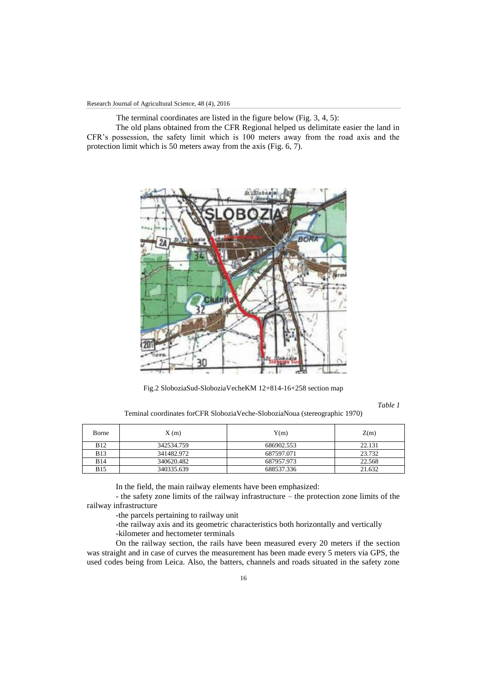The terminal coordinates are listed in the figure below (Fig. 3, 4, 5):

The old plans obtained from the CFR Regional helped us delimitate easier the land in CFR's possession, the safety limit which is 100 meters away from the road axis and the protection limit which is 50 meters away from the axis (Fig. 6, 7).



Fig.2 SloboziaSud-SloboziaVecheKM 12+814-16+258 section map

*Table 1*

Teminal coordinates forCFR SloboziaVeche-SloboziaNoua (stereographic 1970)

| Borne      | X(m)       | Y(m)       | Z(m)   |
|------------|------------|------------|--------|
| <b>B12</b> | 342534.759 | 686902.553 | 22.131 |
| <b>B13</b> | 341482.972 | 687597.071 | 23.732 |
| <b>B14</b> | 340620.482 | 687957.973 | 22.568 |
| <b>B15</b> | 340335.639 | 688537.336 | 21.632 |

In the field, the main railway elements have been emphasized:

- the safety zone limits of the railway infrastructure – the protection zone limits of the railway infrastructure

-the parcels pertaining to railway unit

-the railway axis and its geometric characteristics both horizontally and vertically

-kilometer and hectometer terminals

On the railway section, the rails have been measured every 20 meters if the section was straight and in case of curves the measurement has been made every 5 meters via GPS, the used codes being from Leica. Also, the batters, channels and roads situated in the safety zone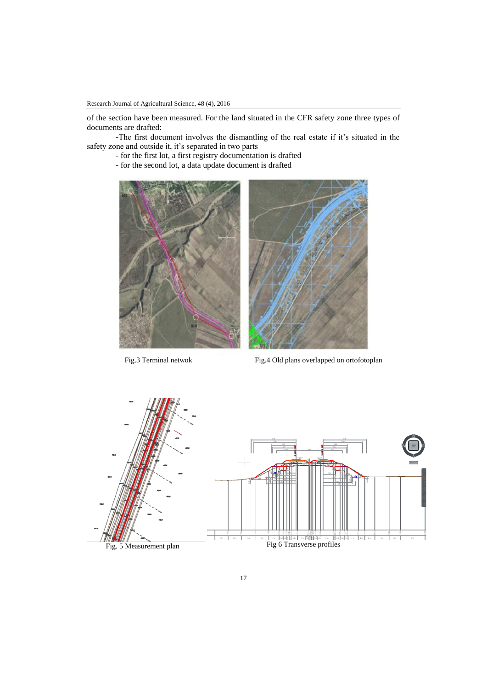of the section have been measured. For the land situated in the CFR safety zone three types of documents are drafted:

-The first document involves the dismantling of the real estate if it's situated in the safety zone and outside it, it's separated in two parts

- for the first lot, a first registry documentation is drafted
- for the second lot, a data update document is drafted





Fig.3 Terminal netwok Fig.4 Old plans overlapped on ortofotoplan

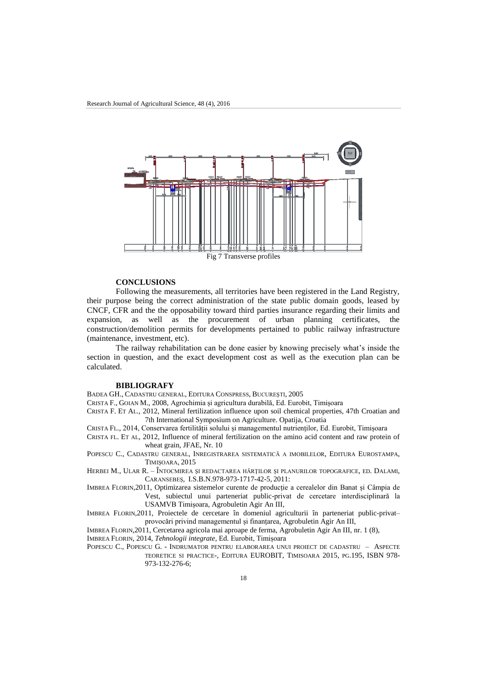

### **CONCLUSIONS**

Following the measurements, all territories have been registered in the Land Registry, their purpose being the correct administration of the state public domain goods, leased by CNCF, CFR and the the opposability toward third parties insurance regarding their limits and expansion, as well as the procurement of urban planning certificates, the construction/demolition permits for developments pertained to public railway infrastructure (maintenance, investment, etc).

The railway rehabilitation can be done easier by knowing precisely what's inside the section in question, and the exact development cost as well as the execution plan can be calculated.

#### **BIBLIOGRAFY**

BADEA GH., CADASTRU GENERAL, EDITURA CONSPRESS, BUCUREŞTI, 2005

CRISTA F., GOIAN M., 2008, Agrochimia și agricultura durabilă, Ed. Eurobit, Timișoara

CRISTA F. ET AL., 2012, Mineral fertilization influence upon soil chemical properties, 47th Croatian and 7th International Symposium on Agriculture. Opatija, Croatia

CRISTA FL., 2014, Conservarea fertilității solului și managementul nutrienților, Ed. Eurobit, Timișoara

CRISTA FL. ET AL, 2012, Influence of mineral fertilization on the amino acid content and raw protein of wheat grain, JFAE, Nr. 10

POPESCU C., CADASTRU GENERAL, INREGISTRAREA SISTEMATICĂ A IMOBILELOR, EDITURA EUROSTAMPA, TIMIŞOARA, 2015

HERBEI M., ULAR R. – ÎNTOCMIREA ŞI REDACTAREA HĂRŢILOR ŞI PLANURILOR TOPOGRAFICE, ED. DALAMI, CARANSEBEŞ, I.S.B.N.978-973-1717-42-5, 2011:

IMBREA FLORIN,2011, Optimizarea sistemelor curente de producție a cerealelor din Banat și Câmpia de Vest, subiectul unui parteneriat public-privat de cercetare interdisciplinară la USAMVB Timișoara, Agrobuletin Agir An III,

IMBREA FLORIN,2011, Proiectele de cercetare în domeniul agriculturii în parteneriat public-privat– provocări privind managementul și finanțarea, Agrobuletin Agir An III,

IMBREA FLORIN,2011, Cercetarea agricola mai aproape de ferma, Agrobuletin Agir An III, nr. 1 (8),

IMBREA FLORIN, 2014, *Tehnologii integrate*, Ed. Eurobit, Timișoara

POPESCU C., POPESCU G. - INDRUMATOR PENTRU ELABORAREA UNUI PROIECT DE CADASTRU – ASPECTE TEORETICE SI PRACTICE-, EDITURA EUROBIT, TIMISOARA 2015, PG.195, ISBN 978- 973-132-276-6;